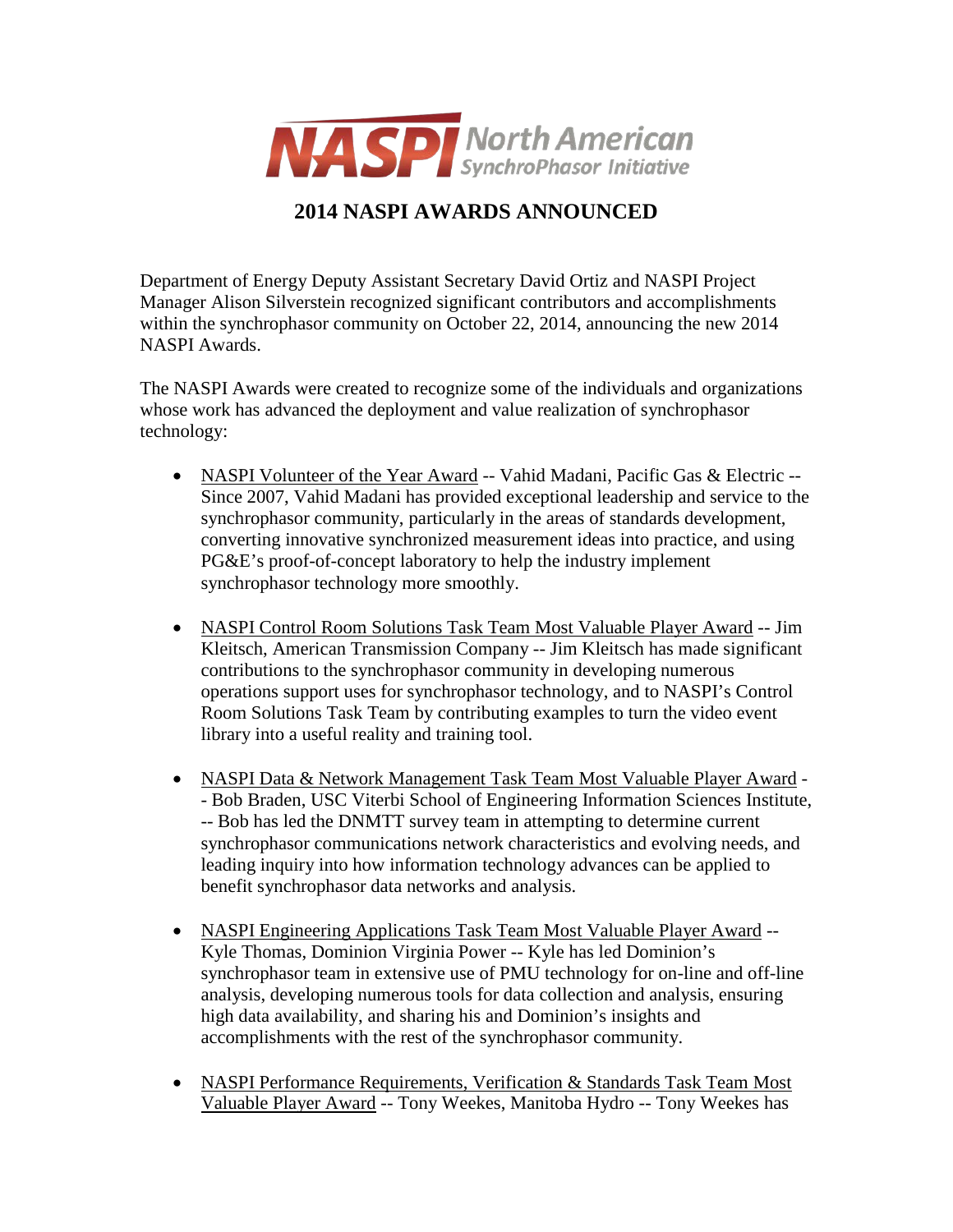

## **2014 NASPI AWARDS ANNOUNCED**

Department of Energy Deputy Assistant Secretary David Ortiz and NASPI Project Manager Alison Silverstein recognized significant contributors and accomplishments within the synchrophasor community on October 22, 2014, announcing the new 2014 NASPI Awards.

The NASPI Awards were created to recognize some of the individuals and organizations whose work has advanced the deployment and value realization of synchrophasor technology:

- NASPI Volunteer of the Year Award -- Vahid Madani, Pacific Gas & Electric --Since 2007, Vahid Madani has provided exceptional leadership and service to the synchrophasor community, particularly in the areas of standards development, converting innovative synchronized measurement ideas into practice, and using PG&E's proof-of-concept laboratory to help the industry implement synchrophasor technology more smoothly.
- NASPI Control Room Solutions Task Team Most Valuable Player Award -- Jim Kleitsch, American Transmission Company -- Jim Kleitsch has made significant contributions to the synchrophasor community in developing numerous operations support uses for synchrophasor technology, and to NASPI's Control Room Solutions Task Team by contributing examples to turn the video event library into a useful reality and training tool.
- NASPI Data & Network Management Task Team Most Valuable Player Award - Bob Braden, USC Viterbi School of Engineering Information Sciences Institute, -- Bob has led the DNMTT survey team in attempting to determine current synchrophasor communications network characteristics and evolving needs, and leading inquiry into how information technology advances can be applied to benefit synchrophasor data networks and analysis.
- NASPI Engineering Applications Task Team Most Valuable Player Award --Kyle Thomas, Dominion Virginia Power -- Kyle has led Dominion's synchrophasor team in extensive use of PMU technology for on-line and off-line analysis, developing numerous tools for data collection and analysis, ensuring high data availability, and sharing his and Dominion's insights and accomplishments with the rest of the synchrophasor community.
- NASPI Performance Requirements, Verification & Standards Task Team Most Valuable Player Award -- Tony Weekes, Manitoba Hydro -- Tony Weekes has